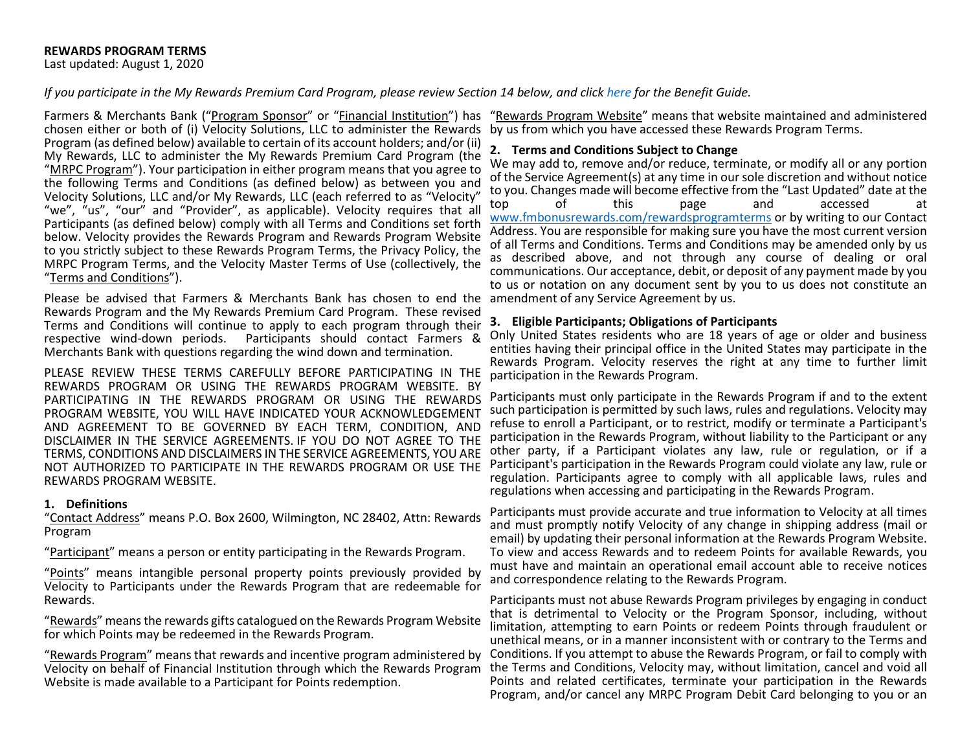*If you participate in the My Rewards Premium Card Program, please review Section 14 below, and click [here](https://www.fmbonusrewards.com/benefitguide) for the Benefit Guide.*

Farmers & Merchants Bank ("Program Sponsor" or "Financial Institution") has "Rewards Program Website" means that website maintained and administered chosen either or both of (i) Velocity Solutions, LLC to administer the Rewards by us from which you have accessed these Rewards Program Terms. Program (as defined below) available to certain of its account holders; and/or (ii) My Rewards, LLC to administer the My Rewards Premium Card Program (the "MRPC Program"). Your participation in either program means that you agree to the following Terms and Conditions (as defined below) as between you and Velocity Solutions, LLC and/or My Rewards, LLC (each referred to as "Velocity" "we", "us", "our" and "Provider", as applicable). Velocity requires that all Participants (as defined below) comply with all Terms and Conditions set forth below. Velocity provides the Rewards Program and Rewards Program Website to you strictly subject to these Rewards Program Terms, the Privacy Policy, the MRPC Program Terms, and the Velocity Master Terms of Use (collectively, the "Terms and Conditions").

Please be advised that Farmers & Merchants Bank has chosen to end the amendment of any Service Agreement by us. Rewards Program and the My Rewards Premium Card Program. These revised Terms and Conditions will continue to apply to each program through their respective wind-down periods. Participants should contact Farmers & Merchants Bank with questions regarding the wind down and termination.

PLEASE REVIEW THESE TERMS CAREFULLY BEFORE PARTICIPATING IN THE REWARDS PROGRAM OR USING THE REWARDS PROGRAM WEBSITE. BY PARTICIPATING IN THE REWARDS PROGRAM OR USING THE REWARDS PROGRAM WEBSITE, YOU WILL HAVE INDICATED YOUR ACKNOWLEDGEMENT AND AGREEMENT TO BE GOVERNED BY EACH TERM, CONDITION, AND DISCLAIMER IN THE SERVICE AGREEMENTS. IF YOU DO NOT AGREE TO THE TERMS, CONDITIONS AND DISCLAIMERS IN THE SERVICE AGREEMENTS, YOU ARE NOT AUTHORIZED TO PARTICIPATE IN THE REWARDS PROGRAM OR USE THE REWARDS PROGRAM WEBSITE.

## **1. Definitions**

"Contact Address" means P.O. Box 2600, Wilmington, NC 28402, Attn: Rewards Program

"Participant" means a person or entity participating in the Rewards Program.

"Points" means intangible personal property points previously provided by Velocity to Participants under the Rewards Program that are redeemable for Rewards.

"Rewards" means the rewards gifts catalogued on the Rewards Program Website for which Points may be redeemed in the Rewards Program.

"Rewards Program" means that rewards and incentive program administered by Velocity on behalf of Financial Institution through which the Rewards Program Website is made available to a Participant for Points redemption.

## **2. Terms and Conditions Subject to Change**

We may add to, remove and/or reduce, terminate, or modify all or any portion of the Service Agreement(s) at any time in our sole discretion and without notice to you. Changes made will become effective from the "Last Updated" date at the<br>top dof this page and accessed at top of this page and accessed at [www.fmbonusrewards.com/rewardsprogramterms](http://www.fmbonusrewards.com/rewardsprogramterms) or by writing to our Contact Address. You are responsible for making sure you have the most current version of all Terms and Conditions. Terms and Conditions may be amended only by us as described above, and not through any course of dealing or oral communications. Our acceptance, debit, or deposit of any payment made by you to us or notation on any document sent by you to us does not constitute an

## **3. Eligible Participants; Obligations of Participants**

Only United States residents who are 18 years of age or older and business entities having their principal office in the United States may participate in the Rewards Program. Velocity reserves the right at any time to further limit participation in the Rewards Program.

Participants must only participate in the Rewards Program if and to the extent such participation is permitted by such laws, rules and regulations. Velocity may refuse to enroll a Participant, or to restrict, modify or terminate a Participant's participation in the Rewards Program, without liability to the Participant or any other party, if a Participant violates any law, rule or regulation, or if a Participant's participation in the Rewards Program could violate any law, rule or regulation. Participants agree to comply with all applicable laws, rules and regulations when accessing and participating in the Rewards Program.

Participants must provide accurate and true information to Velocity at all times and must promptly notify Velocity of any change in shipping address (mail or email) by updating their personal information at the Rewards Program Website. To view and access Rewards and to redeem Points for available Rewards, you must have and maintain an operational email account able to receive notices and correspondence relating to the Rewards Program.

Participants must not abuse Rewards Program privileges by engaging in conduct that is detrimental to Velocity or the Program Sponsor, including, without limitation, attempting to earn Points or redeem Points through fraudulent or unethical means, or in a manner inconsistent with or contrary to the Terms and Conditions. If you attempt to abuse the Rewards Program, or fail to comply with the Terms and Conditions, Velocity may, without limitation, cancel and void all Points and related certificates, terminate your participation in the Rewards Program, and/or cancel any MRPC Program Debit Card belonging to you or an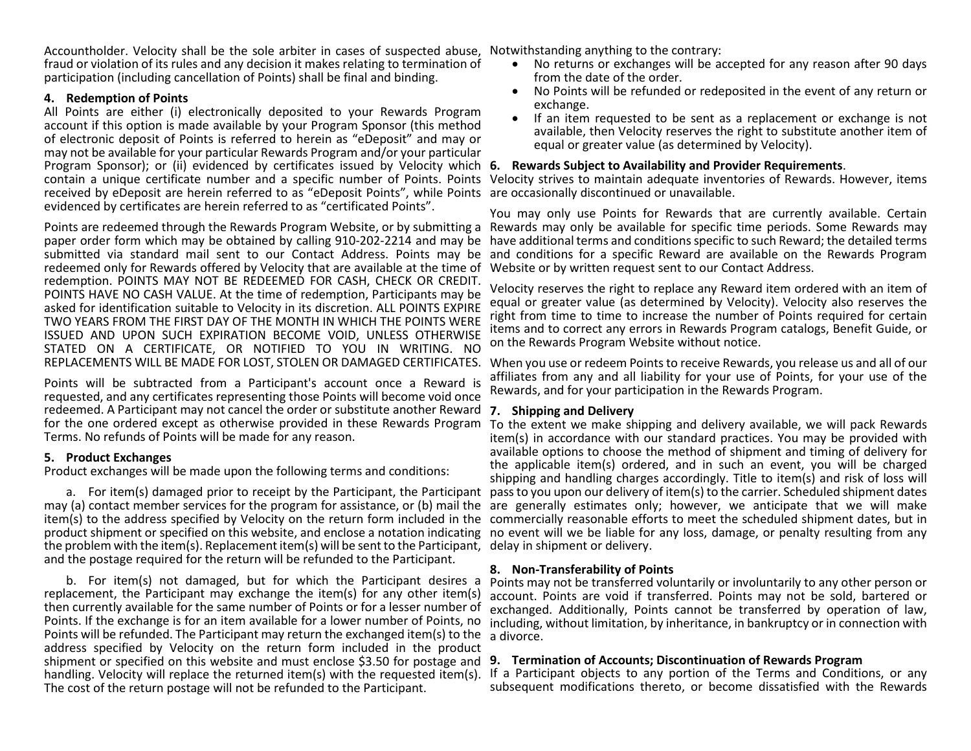Accountholder. Velocity shall be the sole arbiter in cases of suspected abuse, Notwithstanding anything to the contrary: fraud or violation of its rules and any decision it makes relating to termination of participation (including cancellation of Points) shall be final and binding.

## **4. Redemption of Points**

All Points are either (i) electronically deposited to your Rewards Program account if this option is made available by your Program Sponsor (this method of electronic deposit of Points is referred to herein as "eDeposit" and may or may not be available for your particular Rewards Program and/or your particular Program Sponsor); or (ii) evidenced by certificates issued by Velocity which 6. Rewards Subject to Availability and Provider Requirements. Program Sponsor); or (ii) evidenced by certificates issued by Velocity which 6. Rewards Subject to Availability and Provider Requirements.<br>contain a unique certificate number and a specific number of Points. Points Velocit received by eDeposit are herein referred to as "eDeposit Points", while Points are occasionally discontinued or unavailable. evidenced by certificates are herein referred to as "certificated Points".

Points are redeemed through the Rewards Program Website, or by submitting a Rewards may only be available for specific time periods. Some Rewards may paper order form which may be obtained by calling 910-202-2214 and may be have additional terms and conditions specific to such Reward; the detailed terms submitted via standard mail sent to our Contact Address. Points may be and conditions for a specific Reward are available on the Rewards Program redeemed only for Rewards offered by Velocity that are available at the time of redemption. POINTS MAY NOT BE REDEEMED FOR CASH, CHECK OR CREDIT. POINTS HAVE NO CASH VALUE. At the time of redemption, Participants may be asked for identification suitable to Velocity in its discretion. ALL POINTS EXPIRE TWO YEARS FROM THE FIRST DAY OF THE MONTH IN WHICH THE POINTS WERE ISSUED AND UPON SUCH EXPIRATION BECOME VOID, UNLESS OTHERWISE STATED ON A CERTIFICATE, OR NOTIFIED TO YOU IN WRITING. NO

Points will be subtracted from a Participant's account once a Reward is requested, and any certificates representing those Points will become void once redeemed. A Participant may not cancel the order or substitute another Reward **7. Shipping and Delivery** for the one ordered except as otherwise provided in these Rewards Program Terms. No refunds of Points will be made for any reason.

# **5. Product Exchanges**

Product exchanges will be made upon the following terms and conditions:

a. For item(s) damaged prior to receipt by the Participant, the Participant may (a) contact member services for the program for assistance, or (b) mail the are generally estimates only; however, we anticipate that we will make item(s) to the address specified by Velocity on the return form included in the commercially reasonable efforts to meet the scheduled shipment dates, but in product shipment or specified on this website, and enclose a notation indicating no event will we be liable for any loss, damage, or penalty resulting from any the problem with the item(s). Replacement item(s) will be sent to the Participant, delay in shipment or delivery. and the postage required for the return will be refunded to the Participant.

b. For item(s) not damaged, but for which the Participant desires a replacement, the Participant may exchange the item(s) for any other item(s) then currently available for the same number of Points or for a lesser number of Points. If the exchange is for an item available for a lower number of Points, no Points will be refunded. The Participant may return the exchanged item(s) to the address specified by Velocity on the return form included in the product shipment or specified on this website and must enclose \$3.50 for postage and handling. Velocity will replace the returned item(s) with the requested item(s). The cost of the return postage will not be refunded to the Participant.

- No returns or exchanges will be accepted for any reason after 90 days from the date of the order.
- No Points will be refunded or redeposited in the event of any return or exchange.
- If an item requested to be sent as a replacement or exchange is not available, then Velocity reserves the right to substitute another item of equal or greater value (as determined by Velocity).

You may only use Points for Rewards that are currently available. Certain Website or by written request sent to our Contact Address.

Velocity reserves the right to replace any Reward item ordered with an item of equal or greater value (as determined by Velocity). Velocity also reserves the right from time to time to increase the number of Points required for certain items and to correct any errors in Rewards Program catalogs, Benefit Guide, or on the Rewards Program Website without notice.

REPLACEMENTS WILL BE MADE FOR LOST, STOLEN OR DAMAGED CERTIFICATES. When you use or redeem Points to receive Rewards, you release us and all of our affiliates from any and all liability for your use of Points, for your use of the Rewards, and for your participation in the Rewards Program.

To the extent we make shipping and delivery available, we will pack Rewards item(s) in accordance with our standard practices. You may be provided with available options to choose the method of shipment and timing of delivery for the applicable item(s) ordered, and in such an event, you will be charged shipping and handling charges accordingly. Title to item(s) and risk of loss will pass to you upon our delivery of item(s) to the carrier. Scheduled shipment dates

# **8. Non***-***Transferability of Points**

Points may not be transferred voluntarily or involuntarily to any other person or account. Points are void if transferred. Points may not be sold, bartered or exchanged. Additionally, Points cannot be transferred by operation of law, including, without limitation, by inheritance, in bankruptcy or in connection with a divorce.

# **9. Termination of Accounts; Discontinuation of Rewards Program**

If a Participant objects to any portion of the Terms and Conditions, or any subsequent modifications thereto, or become dissatisfied with the Rewards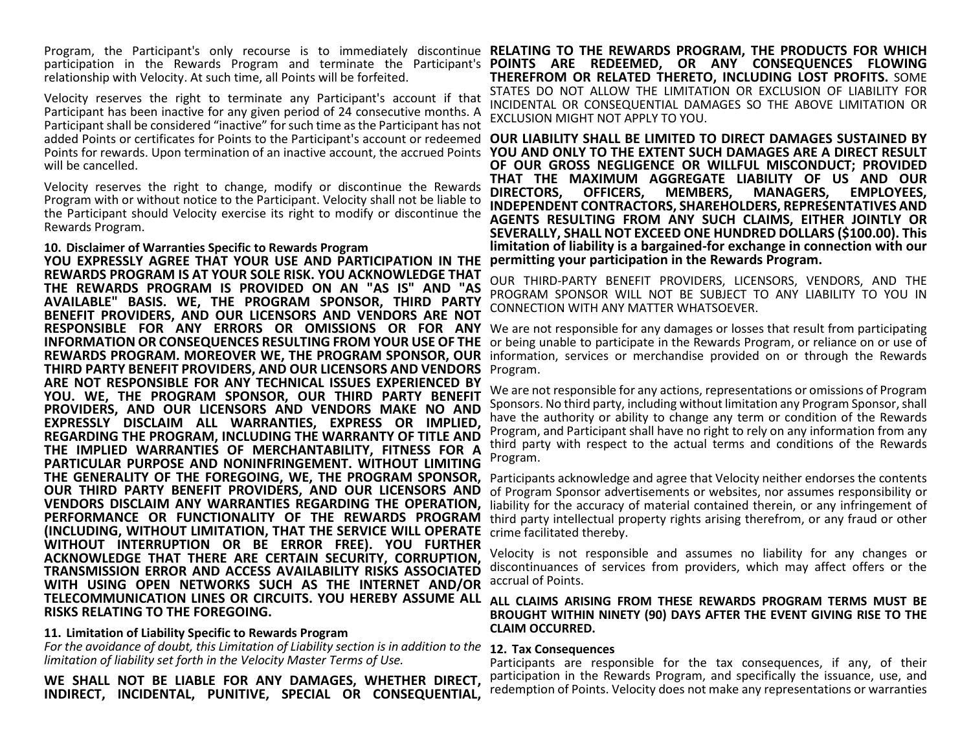Program, the Participant's only recourse is to immediately discontinue RELATING TO THE REWARDS PROGRAM, THE PRODUCTS FOR WHICH relationship with Velocity. At such time, all Points will be forfeited.

Velocity reserves the right to terminate any Participant's account if that Participant has been inactive for any given period of 24 consecutive months. A Participant shall be considered "inactive" for such time as the Participant has not added Points or certificates for Points to the Participant's account or redeemed **OUR LIABILITY SHALL BE LIMITED TO DIRECT DAMAGES SUSTAINED BY**  Points for rewards. Upon termination of an inactive account, the accrued Points will be cancelled.

Velocity reserves the right to change, modify or discontinue the Rewards Program with or without notice to the Participant. Velocity shall not be liable to the Participant should Velocity exercise its right to modify or discontinue the Rewards Program.

### **10. Disclaimer of Warranties Specific to Rewards Program**

**YOU EXPRESSLY AGREE THAT YOUR USE AND PARTICIPATION IN THE REWARDS PROGRAM IS AT YOUR SOLE RISK. YOU ACKNOWLEDGE THAT THE REWARDS PROGRAM IS PROVIDED ON AN "AS IS" AND "AS AVAILABLE" BASIS. WE, THE PROGRAM SPONSOR, THIRD PARTY BENEFIT PROVIDERS, AND OUR LICENSORS AND VENDORS ARE NOT**  RESPONSIBLE FOR ANY ERRORS OR OMISSIONS OR FOR ANY We are not responsible for any damages or losses that result from participating **INFORMATION OR CONSEQUENCES RESULTING FROM YOUR USE OF THE REWARDS PROGRAM. MOREOVER WE, THE PROGRAM SPONSOR, OUR**  information, services or merchandise provided on or through the Rewards **THIRD PARTY BENEFIT PROVIDERS, AND OUR LICENSORS AND VENDORS ARE NOT RESPONSIBLE FOR ANY TECHNICAL ISSUES EXPERIENCED BY YOU. WE, THE PROGRAM SPONSOR, OUR THIRD PARTY BENEFIT PROVIDERS, AND OUR LICENSORS AND VENDORS MAKE NO AND EXPRESSLY DISCLAIM ALL WARRANTIES, EXPRESS OR IMPLIED, REGARDING THE PROGRAM, INCLUDING THE WARRANTY OF TITLE AND THE IMPLIED WARRANTIES OF MERCHANTABILITY, FITNESS FOR A PARTICULAR PURPOSE AND NONINFRINGEMENT. WITHOUT LIMITING OUR THIRD PARTY BENEFIT PROVIDERS, AND OUR LICENSORS AND VENDORS DISCLAIM ANY WARRANTIES REGARDING THE OPERATION, PERFORMANCE OR FUNCTIONALITY OF THE REWARDS PROGRAM (INCLUDING, WITHOUT LIMITATION, THAT THE SERVICE WILL OPERATE WITHOUT INTERRUPTION OR BE ERROR FREE). YOU FURTHER ACKNOWLEDGE THAT THERE ARE CERTAIN SECURITY, CORRUPTION, TRANSMISSION ERROR AND ACCESS AVAILABILITY RISKS ASSOCIATED WITH USING OPEN NETWORKS SUCH AS THE INTERNET AND/OR TELECOMMUNICATION LINES OR CIRCUITS. YOU HEREBY ASSUME ALL RISKS RELATING TO THE FOREGOING.**

## **11. Limitation of Liability Specific to Rewards Program**

*For the avoidance of doubt, this Limitation of Liability section is in addition to the*  **12. Tax Consequences** *limitation of liability set forth in the Velocity Master Terms of Use.*

**WE SHALL NOT BE LIABLE FOR ANY DAMAGES, WHETHER DIRECT, INDIRECT, INCIDENTAL, PUNITIVE, SPECIAL OR CONSEQUENTIAL,** 

participation in the Rewards Program and terminate the Participant's POINTS ARE REDEEMED, OR ANY CONSEQUENCES FLOWING **THEREFROM OR RELATED THERETO, INCLUDING LOST PROFITS.** SOME STATES DO NOT ALLOW THE LIMITATION OR EXCLUSION OF LIABILITY FOR INCIDENTAL OR CONSEQUENTIAL DAMAGES SO THE ABOVE LIMITATION OR EXCLUSION MIGHT NOT APPLY TO YOU.

> **YOU AND ONLY TO THE EXTENT SUCH DAMAGES ARE A DIRECT RESULT OF OUR GROSS NEGLIGENCE OR WILLFUL MISCONDUCT; PROVIDED THAT THE MAXIMUM AGGREGATE LIABILITY OF US AND OUR DIRECTORS, OFFICERS, MEMBERS, MANAGERS, EMPLOYEES, INDEPENDENT CONTRACTORS, SHAREHOLDERS, REPRESENTATIVES AND AGENTS RESULTING FROM ANY SUCH CLAIMS, EITHER JOINTLY OR SEVERALLY, SHALL NOT EXCEED ONE HUNDRED DOLLARS (\$100.00). This limitation of liability is a bargained-for exchange in connection with our permitting your participation in the Rewards Program.**

> OUR THIRD-PARTY BENEFIT PROVIDERS, LICENSORS, VENDORS, AND THE PROGRAM SPONSOR WILL NOT BE SUBJECT TO ANY LIABILITY TO YOU IN CONNECTION WITH ANY MATTER WHATSOEVER.

> or being unable to participate in the Rewards Program, or reliance on or use of Program.

> We are not responsible for any actions, representations or omissions of Program Sponsors. No third party, including without limitation any Program Sponsor, shall have the authority or ability to change any term or condition of the Rewards Program, and Participant shall have no right to rely on any information from any third party with respect to the actual terms and conditions of the Rewards Program.

> Participants acknowledge and agree that Velocity neither endorses the contents of Program Sponsor advertisements or websites, nor assumes responsibility or liability for the accuracy of material contained therein, or any infringement of third party intellectual property rights arising therefrom, or any fraud or other crime facilitated thereby.

> Velocity is not responsible and assumes no liability for any changes or discontinuances of services from providers, which may affect offers or the accrual of Points.

## **ALL CLAIMS ARISING FROM THESE REWARDS PROGRAM TERMS MUST BE BROUGHT WITHIN NINETY (90) DAYS AFTER THE EVENT GIVING RISE TO THE CLAIM OCCURRED.**

Participants are responsible for the tax consequences, if any, of their participation in the Rewards Program, and specifically the issuance, use, and redemption of Points. Velocity does not make any representations or warranties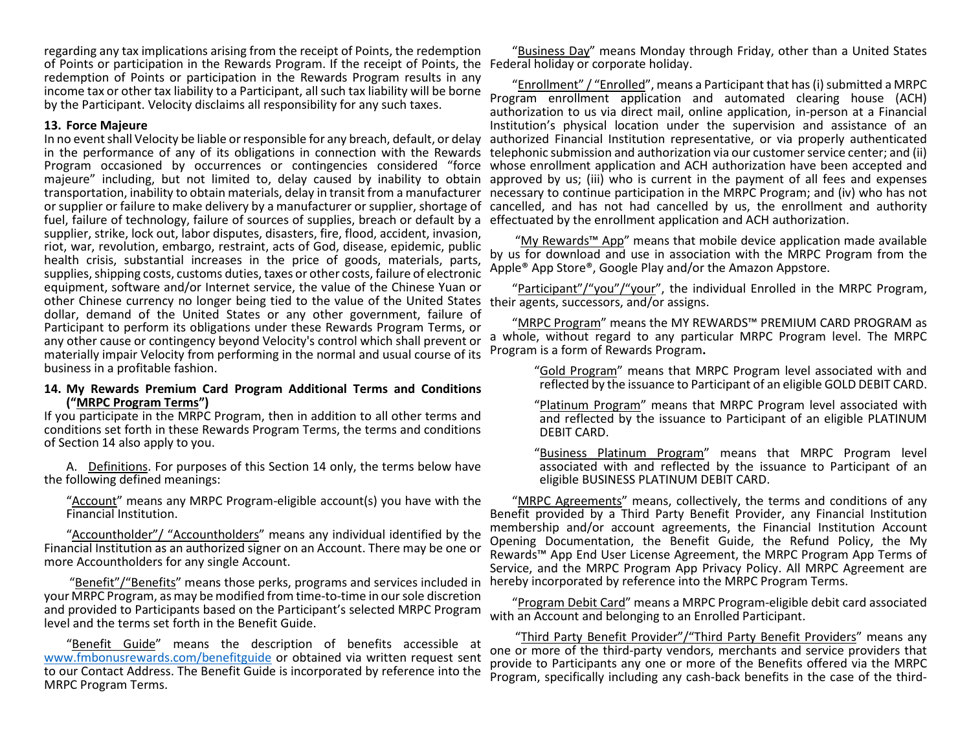regarding any tax implications arising from the receipt of Points, the redemption of Points or participation in the Rewards Program. If the receipt of Points, the Federal holiday or corporate holiday. redemption of Points or participation in the Rewards Program results in any income tax or other tax liability to a Participant, all such tax liability will be borne by the Participant. Velocity disclaims all responsibility for any such taxes.

## **13. Force Majeure**

In no event shall Velocity be liable or responsible for any breach, default, or delay in the performance of any of its obligations in connection with the Rewards Program occasioned by occurrences or contingencies considered "force whose enrollment application and ACH authorization have been accepted and majeure" including, but not limited to, delay caused by inability to obtain approved by us; (iii) who is current in the payment of all fees and expenses transportation, inability to obtain materials, delay in transit from a manufacturer necessary to continue participation in the MRPC Program; and (iv) who has not or supplier or failure to make delivery by a manufacturer or supplier, shortage of cancelled, and has not had cancelled by us, the enrollment and authority fuel, failure of technology, failure of sources of supplies, breach or default by a effectuated by the enrollment application and ACH authorization. supplier, strike, lock out, labor disputes, disasters, fire, flood, accident, invasion, riot, war, revolution, embargo, restraint, acts of God, disease, epidemic, public health crisis, substantial increases in the price of goods, materials, parts, supplies, shipping costs, customs duties, taxes or other costs, failure of electronic equipment, software and/or Internet service, the value of the Chinese Yuan or other Chinese currency no longer being tied to the value of the United States their agents, successors, and/or assigns. dollar, demand of the United States or any other government, failure of Participant to perform its obligations under these Rewards Program Terms, or any other cause or contingency beyond Velocity's control which shall prevent or materially impair Velocity from performing in the normal and usual course of its business in a profitable fashion.

### **14. My Rewards Premium Card Program Additional Terms and Conditions ("MRPC Program Terms")**

If you participate in the MRPC Program, then in addition to all other terms and conditions set forth in these Rewards Program Terms, the terms and conditions of Section 14 also apply to you.

A. Definitions. For purposes of this Section 14 only, the terms below have the following defined meanings:

"Account" means any MRPC Program-eligible account(s) you have with the Financial Institution.

"Accountholder"/ "Accountholders" means any individual identified by the Financial Institution as an authorized signer on an Account. There may be one or more Accountholders for any single Account.

"Benefit"/"Benefits" means those perks, programs and services included in your MRPC Program, as may be modified from time-to-time in our sole discretion and provided to Participants based on the Participant's selected MRPC Program level and the terms set forth in the Benefit Guide.

"Benefit Guide" means the description of benefits accessible at [www.fmbonusrewards.com/benefitguide](http://www.fmbonusrewards.com/benefitguide) or obtained via written request sent to our Contact Address. The Benefit Guide is incorporated by reference into the MRPC Program Terms.

"Business Day" means Monday through Friday, other than a United States

"Enrollment" / "Enrolled", means a Participant that has (i) submitted a MRPC Program enrollment application and automated clearing house (ACH) authorization to us via direct mail, online application, in-person at a Financial Institution's physical location under the supervision and assistance of an authorized Financial Institution representative, or via properly authenticated telephonic submission and authorization via our customer service center; and (ii)

"My Rewards™ App" means that mobile device application made available by us for download and use in association with the MRPC Program from the Apple® App Store®, Google Play and/or the Amazon Appstore.

"Participant"/"you"/"your", the individual Enrolled in the MRPC Program,

"MRPC Program" means the MY REWARDS™ PREMIUM CARD PROGRAM as a whole, without regard to any particular MRPC Program level. The MRPC Program is a form of Rewards Program**.**

> "Gold Program" means that MRPC Program level associated with and reflected by the issuance to Participant of an eligible GOLD DEBIT CARD.

> "Platinum Program" means that MRPC Program level associated with and reflected by the issuance to Participant of an eligible PLATINUM DEBIT CARD.

> "Business Platinum Program" means that MRPC Program level associated with and reflected by the issuance to Participant of an eligible BUSINESS PLATINUM DEBIT CARD.

"MRPC Agreements" means, collectively, the terms and conditions of any Benefit provided by a Third Party Benefit Provider, any Financial Institution membership and/or account agreements, the Financial Institution Account Opening Documentation, the Benefit Guide, the Refund Policy, the My Rewards™ App End User License Agreement, the MRPC Program App Terms of Service, and the MRPC Program App Privacy Policy. All MRPC Agreement are hereby incorporated by reference into the MRPC Program Terms.

"Program Debit Card" means a MRPC Program-eligible debit card associated with an Account and belonging to an Enrolled Participant.

"Third Party Benefit Provider"/"Third Party Benefit Providers" means any one or more of the third-party vendors, merchants and service providers that provide to Participants any one or more of the Benefits offered via the MRPC Program, specifically including any cash-back benefits in the case of the third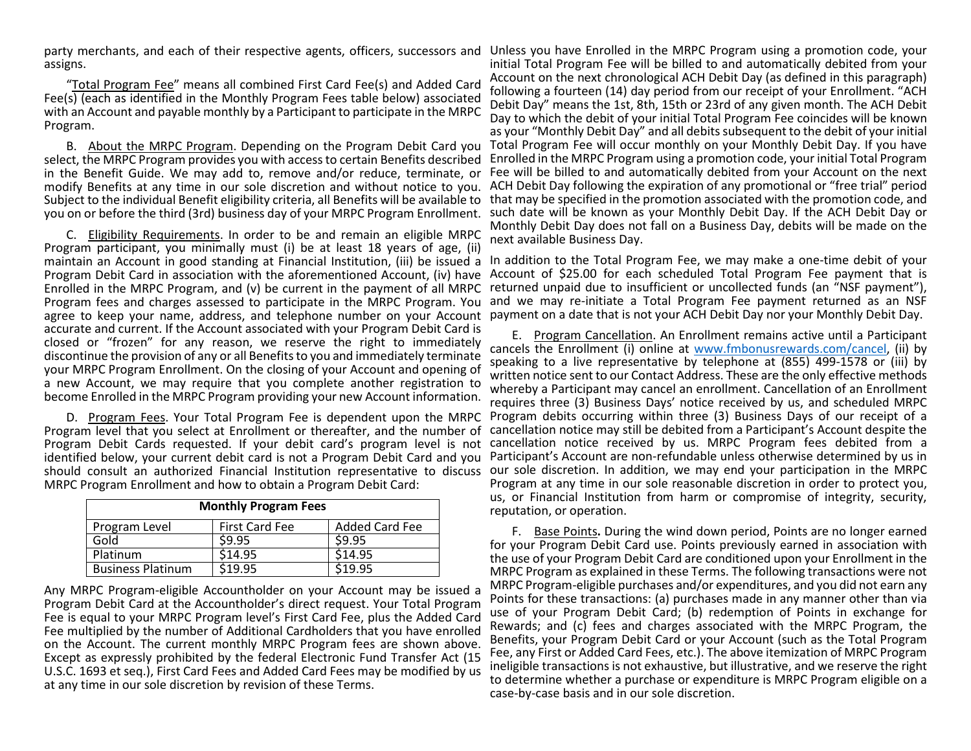assigns.

"Total Program Fee" means all combined First Card Fee(s) and Added Card Fee(s) (each as identified in the Monthly Program Fees table below) associated with an Account and payable monthly by a Participant to participate in the MRPC Program.

select, the MRPC Program provides you with access to certain Benefits described in the Benefit Guide. We may add to, remove and/or reduce, terminate, or

C. Eligibility Requirements. In order to be and remain an eligible MRPC Program participant, you minimally must (i) be at least 18 years of age, (ii) maintain an Account in good standing at Financial Institution, (iii) be issued a In addition to the Total Program Fee, we may make a one-time debit of your Program Debit Card in association with the aforementioned Account, (iv) have Account of \$25.00 for each scheduled Total Program Fee payment that is Enrolled in the MRPC Program, and (v) be current in the payment of all MRPC returned unpaid due to insufficient or uncollected funds (an "NSF payment"), Program fees and charges assessed to participate in the MRPC Program. You and we may re-initiate a Total Program Fee payment returned as an NSF agree to keep your name, address, and telephone number on your Account payment on a date that is not your ACH Debit Day nor your Monthly Debit Day. accurate and current. If the Account associated with your Program Debit Card is closed or "frozen" for any reason, we reserve the right to immediately discontinue the provision of any or all Benefits to you and immediately terminate your MRPC Program Enrollment. On the closing of your Account and opening of a new Account, we may require that you complete another registration to become Enrolled in the MRPC Program providing your new Account information.

identified below, your current debit card is not a Program Debit Card and you MRPC Program Enrollment and how to obtain a Program Debit Card:

| <b>Monthly Program Fees</b> |                       |                       |
|-----------------------------|-----------------------|-----------------------|
| Program Level               | <b>First Card Fee</b> | <b>Added Card Fee</b> |
| Gold                        | \$9.95                | \$9.95                |
| Platinum                    | \$14.95               | \$14.95               |
| <b>Business Platinum</b>    | \$19.95               | \$19.95               |

Any MRPC Program-eligible Accountholder on your Account may be issued a Program Debit Card at the Accountholder's direct request. Your Total Program Fee is equal to your MRPC Program level's First Card Fee, plus the Added Card Fee multiplied by the number of Additional Cardholders that you have enrolled on the Account. The current monthly MRPC Program fees are shown above. Except as expressly prohibited by the federal Electronic Fund Transfer Act (15 U.S.C. 1693 et seq.), First Card Fees and Added Card Fees may be modified by us at any time in our sole discretion by revision of these Terms.

party merchants, and each of their respective agents, officers, successors and Unless you have Enrolled in the MRPC Program using a promotion code, your B. About the MRPC Program. Depending on the Program Debit Card you Total Program Fee will occur monthly on your Monthly Debit Day. If you have modify Benefits at any time in our sole discretion and without notice to you. ACH Debit Day following the expiration of any promotional or "free trial" period Subject to the individual Benefit eligibility criteria, all Benefits will be available to that may be specified in the promotion associated with the promotion code, and you on or before the third (3rd) business day of your MRPC Program Enrollment. such date will be known as your Monthly Debit Day. If the ACH Debit Day or initial Total Program Fee will be billed to and automatically debited from your Account on the next chronological ACH Debit Day (as defined in this paragraph) following a fourteen (14) day period from our receipt of your Enrollment. "ACH Debit Day" means the 1st, 8th, 15th or 23rd of any given month. The ACH Debit Day to which the debit of your initial Total Program Fee coincides will be known as your "Monthly Debit Day" and all debits subsequent to the debit of your initial Enrolled in the MRPC Program using a promotion code, your initial Total Program Fee will be billed to and automatically debited from your Account on the next Monthly Debit Day does not fall on a Business Day, debits will be made on the next available Business Day.

D. Program Fees. Your Total Program Fee is dependent upon the MRPC Program debits occurring within three (3) Business Days of our receipt of a Program level that you select at Enrollment or thereafter, and the number of cancellation notice may still be debited from a Participant's Account despite the Program Debit Cards requested. If your debit card's program level is not cancellation notice received by us. MRPC Program fees debited from a should consult an authorized Financial Institution representative to discuss our sole discretion. In addition, we may end your participation in the MRPC E. Program Cancellation. An Enrollment remains active until a Participant cancels the Enrollment (i) online at [www.fmbonusrewards.com/cancel,](http://www.fmbonusrewards.com/cancel) (ii) by speaking to a live representative by telephone at (855) 499-1578 or (iii) by written notice sent to our Contact Address. These are the only effective methods whereby a Participant may cancel an enrollment. Cancellation of an Enrollment requires three (3) Business Days' notice received by us, and scheduled MRPC Participant's Account are non-refundable unless otherwise determined by us in Program at any time in our sole reasonable discretion in order to protect you, us, or Financial Institution from harm or compromise of integrity, security, reputation, or operation.

> F. Base Points**.** During the wind down period, Points are no longer earned for your Program Debit Card use. Points previously earned in association with the use of your Program Debit Card are conditioned upon your Enrollment in the MRPC Program as explained in these Terms. The following transactions were not MRPC Program-eligible purchases and/or expenditures, and you did not earn any Points for these transactions: (a) purchases made in any manner other than via use of your Program Debit Card; (b) redemption of Points in exchange for Rewards; and (c) fees and charges associated with the MRPC Program, the Benefits, your Program Debit Card or your Account (such as the Total Program Fee, any First or Added Card Fees, etc.). The above itemization of MRPC Program ineligible transactions is not exhaustive, but illustrative, and we reserve the right to determine whether a purchase or expenditure is MRPC Program eligible on a case-by-case basis and in our sole discretion.